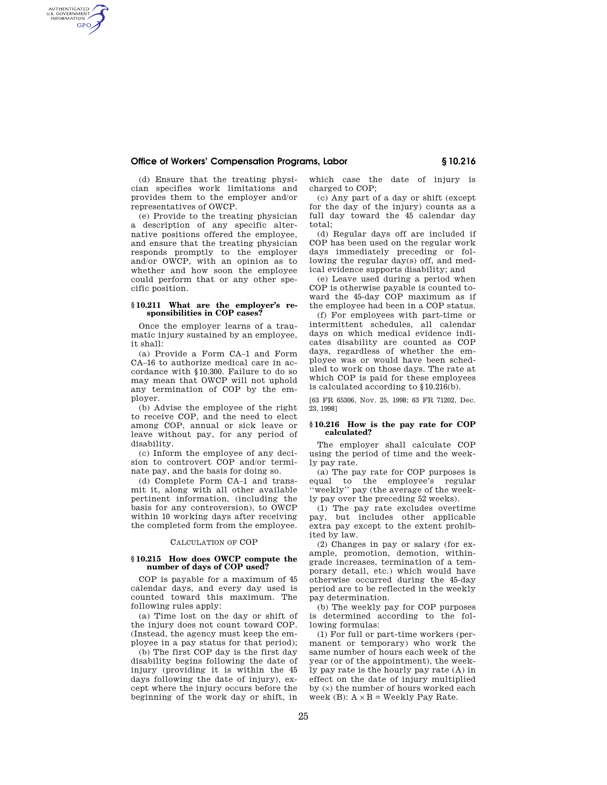## **Office of Workers' Compensation Programs, Labor § 10.216**

(d) Ensure that the treating physician specifies work limitations and provides them to the employer and/or representatives of OWCP.

AUTHENTICATED<br>U.S. GOVERNMENT<br>INFORMATION **GPO** 

> (e) Provide to the treating physician a description of any specific alternative positions offered the employee, and ensure that the treating physician responds promptly to the employer and/or OWCP, with an opinion as to whether and how soon the employee could perform that or any other specific position.

## **§ 10.211 What are the employer's responsibilities in COP cases?**

Once the employer learns of a traumatic injury sustained by an employee, it shall:

(a) Provide a Form CA–1 and Form CA–16 to authorize medical care in accordance with §10.300. Failure to do so may mean that OWCP will not uphold any termination of COP by the employer.

(b) Advise the employee of the right to receive COP, and the need to elect among COP, annual or sick leave or leave without pay, for any period of disability.

(c) Inform the employee of any decision to controvert COP and/or terminate pay, and the basis for doing so.

(d) Complete Form CA–1 and transmit it, along with all other available pertinent information, (including the basis for any controversion), to OWCP within 10 working days after receiving the completed form from the employee.

#### CALCULATION OF COP

## **§ 10.215 How does OWCP compute the number of days of COP used?**

COP is payable for a maximum of 45 calendar days, and every day used is counted toward this maximum. The following rules apply:

(a) Time lost on the day or shift of the injury does not count toward COP. (Instead, the agency must keep the employee in a pay status for that period);

(b) The first COP day is the first day disability begins following the date of injury (providing it is within the 45 days following the date of injury), except where the injury occurs before the beginning of the work day or shift, in

which case the date of injury is charged to COP;

(c) Any part of a day or shift (except for the day of the injury) counts as a full day toward the 45 calendar day total;

(d) Regular days off are included if COP has been used on the regular work days immediately preceding or following the regular day(s) off, and medical evidence supports disability; and

(e) Leave used during a period when COP is otherwise payable is counted toward the 45-day COP maximum as if the employee had been in a COP status.

(f) For employees with part-time or intermittent schedules, all calendar days on which medical evidence indicates disability are counted as COP days, regardless of whether the employee was or would have been scheduled to work on those days. The rate at which COP is paid for these employees is calculated according to §10.216(b).

[63 FR 65306, Nov. 25, 1998; 63 FR 71202, Dec. 23, 1998]

#### **§ 10.216 How is the pay rate for COP calculated?**

The employer shall calculate COP using the period of time and the weekly pay rate.

(a) The pay rate for COP purposes is equal to the employee's regular ''weekly'' pay (the average of the weekly pay over the preceding 52 weeks).

(1) The pay rate excludes overtime pay, but includes other applicable extra pay except to the extent prohibited by law.

(2) Changes in pay or salary (for example, promotion, demotion, withingrade increases, termination of a temporary detail, etc.) which would have otherwise occurred during the 45-day period are to be reflected in the weekly pay determination.

(b) The weekly pay for COP purposes is determined according to the following formulas:

(1) For full or part-time workers (permanent or temporary) who work the same number of hours each week of the year (or of the appointment), the weekly pay rate is the hourly pay rate (A) in effect on the date of injury multiplied by (×) the number of hours worked each week (B):  $A \times B$  = Weekly Pay Rate.